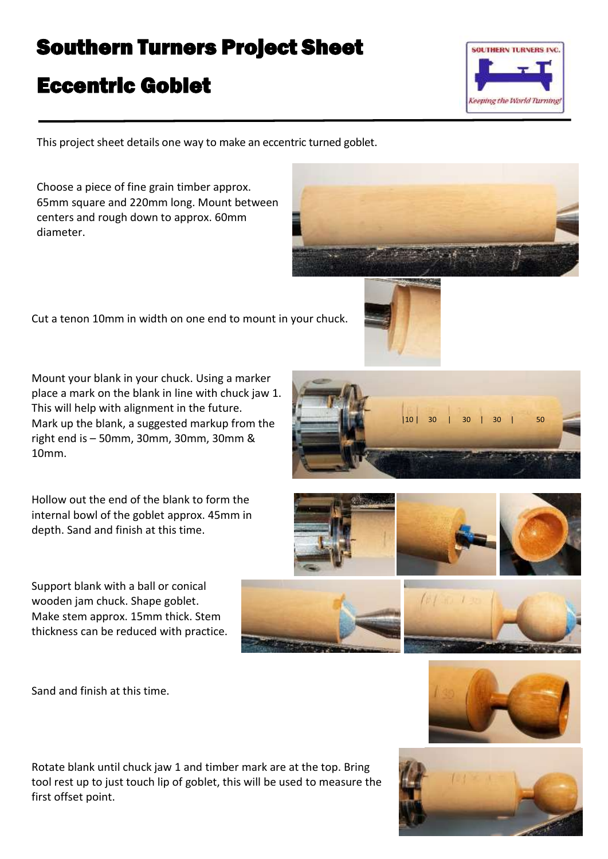## Southern Turners Project Sheet

## Eccentric Goblet

Keeping the World Turning!

**SOUTHERN TURNERS INC.** 

This project sheet details one way to make an eccentric turned goblet.

Choose a piece of fine grain timber approx. 65mm square and 220mm long. Mount between centers and rough down to approx. 60mm diameter.

Cut a tenon 10mm in width on one end to mount in your chuck.

Mount your blank in your chuck. Using a marker place a mark on the blank in line with chuck jaw 1. This will help with alignment in the future. Mark up the blank, a suggested markup from the right end is – 50mm, 30mm, 30mm, 30mm & 10mm.

Hollow out the end of the blank to form the internal bowl of the goblet approx. 45mm in depth. Sand and finish at this time.

Support blank with a ball or conical wooden jam chuck. Shape goblet. Make stem approx. 15mm thick. Stem thickness can be reduced with practice.

Sand and finish at this time.

Rotate blank until chuck jaw 1 and timber mark are at the top. Bring tool rest up to just touch lip of goblet, this will be used to measure the first offset point.











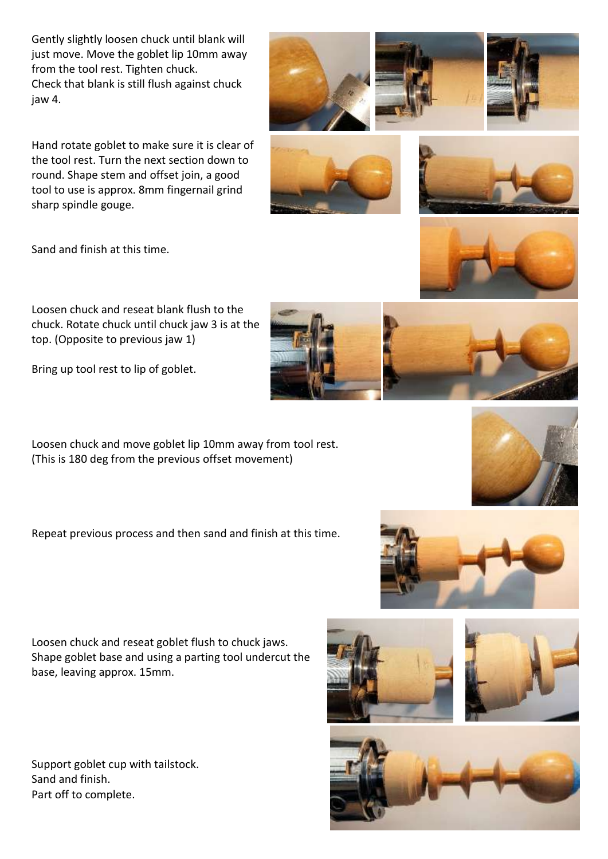Gently slightly loosen chuck until blank will just move. Move the goblet lip 10mm away from the tool rest. Tighten chuck. Check that blank is still flush against chuck jaw 4.

Hand rotate goblet to make sure it is clear of the tool rest. Turn the next section down to round. Shape stem and offset join, a good tool to use is approx. 8mm fingernail grind sharp spindle gouge.

Sand and finish at this time.

Loosen chuck and reseat blank flush to the chuck. Rotate chuck until chuck jaw 3 is at the top. (Opposite to previous jaw 1)

Bring up tool rest to lip of goblet.

Loosen chuck and move goblet lip 10mm away from tool rest. (This is 180 deg from the previous offset movement)

Repeat previous process and then sand and finish at this time.

Loosen chuck and reseat goblet flush to chuck jaws. Shape goblet base and using a parting tool undercut the base, leaving approx. 15mm.

Support goblet cup with tailstock. Sand and finish. Part off to complete.